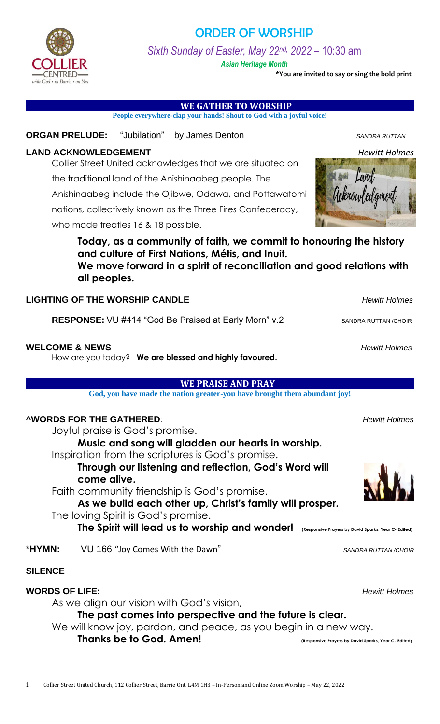

# ORDER OF WORSHIP

*Sixth Sunday of Easter, May 22nd, 2022* – 10:30 am

*Asian Heritage Month*

**\*You are invited to say or sing the bold print**

 **WE GATHER TO WORSHIP** 

**People everywhere-clap your hands! Shout to God with a joyful voice!**

### **ORGAN PRELUDE:** "Jubilation" by James Denton **SANDRA RUTTAN SANDRA RUTTAN**

# **LAND ACKNOWLEDGEMENT** *Hewitt Holmes*

Collier Street United acknowledges that we are situated on

the traditional land of the Anishinaabeg people. The

Anishinaabeg include the Ojibwe, Odawa, and Pottawatomi

nations, collectively known as the Three Fires Confederacy,

who made treaties 16 & 18 possible.

**Today, as a community of faith, we commit to honouring the history and culture of First Nations, Métis, and Inuit. We move forward in a spirit of reconciliation and good relations with all peoples.**

### **LIGHTING OF THE WORSHIP CANDLE** *Hewitt Holmes*

**RESPONSE:** VU #414 "God Be Praised at Early Morn" v.2 SANDRA RUTTAN /CHOIR

### **WELCOME & NEWS** *Hewitt Holmes*

How are you today? **We are blessed and highly favoured.**

### **WE PRAISE AND PRAY**

**God, you have made the nation greater-you have brought them abundant joy!**

# **^WORDS FOR THE GATHERED***: Hewitt Holmes*

Joyful praise is God's promise.

**Music and song will gladden our hearts in worship.** Inspiration from the scriptures is God's promise.

**Through our listening and reflection, God's Word will come alive.**

Faith community friendship is God's promise.

**As we build each other up, Christ's family will prosper.** The loving Spirit is God's promise.

**The Spirit will lead us to worship and wonder! (Responsive Prayers by David Sparks, Year C- Edited)**

\***HYMN:** VU 166 "Joy Comes With the Dawn" *SANDRA RUTTAN /CHOIR*

# **SILENCE**

# **WORDS OF LIFE:** *Hewitt Holmes*

As we align our vision with God's vision,

**The past comes into perspective and the future is clear.**

We will know joy, pardon, and peace, as you begin in a new way.

# **Thanks be to God. Amen! (Responsive Prayers by David Sparks, Year C- Edited)**



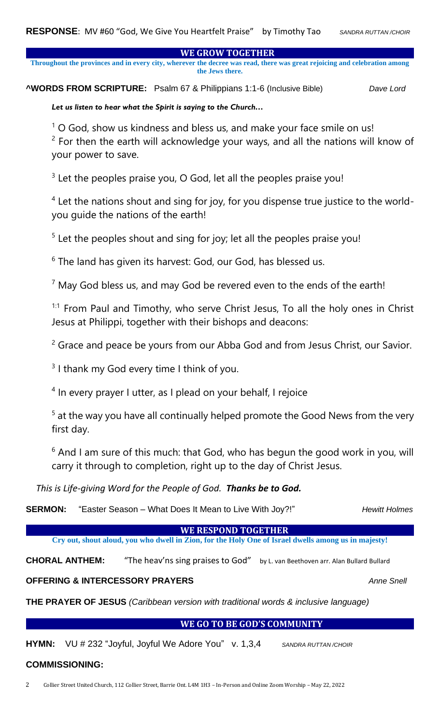**WE GROW TOGETHER** 

**Throughout the provinces and in every city, wherever the decree was read, there was great rejoicing and celebration among the Jews there.** 

**^WORDS FROM SCRIPTURE:** Psalm 67 & Philippians 1:1-6 (Inclusive Bible)*Dave Lord*

*Let us listen to hear what the Spirit is saying to the Church…*

 $1$  O God, show us kindness and bless us, and make your face smile on us!

 $2$  For then the earth will acknowledge your ways, and all the nations will know of your power to save.

 $3$  Let the peoples praise you, O God, let all the peoples praise you!

<sup>4</sup> Let the nations shout and sing for joy, for you dispense true justice to the worldyou guide the nations of the earth!

 $5$  Let the peoples shout and sing for joy; let all the peoples praise you!

<sup>6</sup> The land has given its harvest: God, our God, has blessed us.

 $7$  May God bless us, and may God be revered even to the ends of the earth!

 $1:1$  From Paul and Timothy, who serve Christ Jesus, To all the holy ones in Christ Jesus at Philippi, together with their bishops and deacons:

 $2$  Grace and peace be yours from our Abba God and from Jesus Christ, our Savior.

 $3$  I thank my God every time I think of you.

<sup>4</sup> In every prayer I utter, as I plead on your behalf, I rejoice

 $5$  at the way you have all continually helped promote the Good News from the very first day.

 $6$  And I am sure of this much: that God, who has begun the good work in you, will carry it through to completion, right up to the day of Christ Jesus.

*This is Life-giving Word for the People of God. Thanks be to God.*

**SERMON:** "Easter Season – What Does It Mean to Live With Joy?!" Hewitt Holmes

**WE RESPOND TOGETHER** 

**Cry out, shout aloud, you who dwell in Zion, for the Holy One of Israel dwells among us in majesty!**

CHORAL ANTHEM: "The heav'ns sing praises to God" by L. van Beethoven arr. Alan Bullard Bullard

**OFFERING & INTERCESSORY PRAYERS** *Anne Snell*

**THE PRAYER OF JESUS** *(Caribbean version with traditional words & inclusive language)*

#### **WE GO TO BE GOD'S COMMUNITY**

**HYMN:** VU # 232 "Joyful, Joyful We Adore You" v. 1,3,4 *SANDRA RUTTAN /CHOIR*

# **COMMISSIONING:**